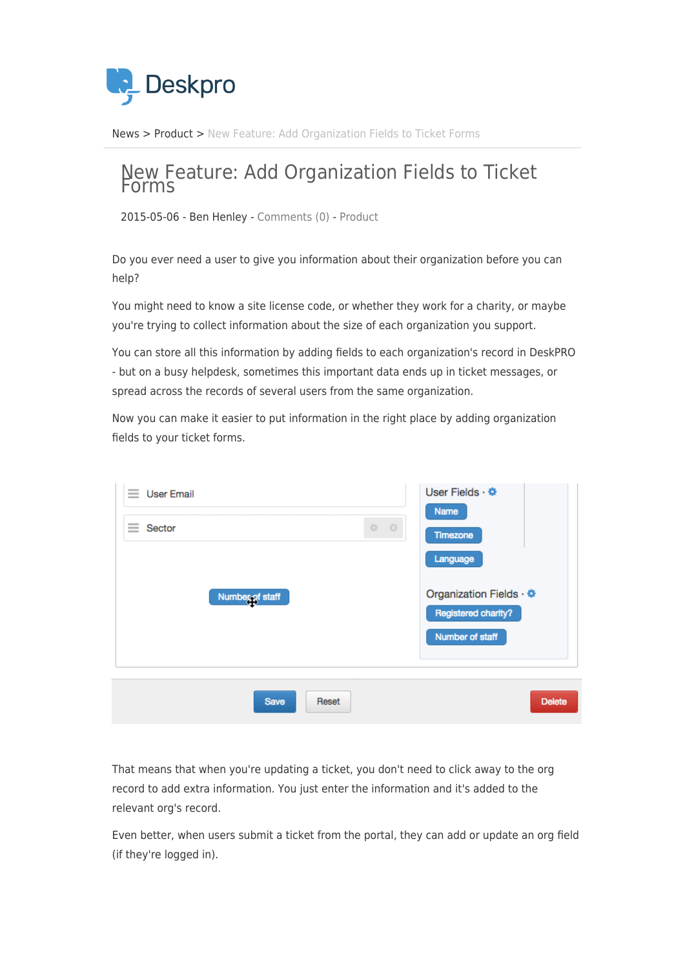

[News](https://support.deskpro.com/ro/news) > [Product](https://support.deskpro.com/ro/news/product) > [New Feature: Add Organization Fields to Ticket Forms](https://support.deskpro.com/ro/news/posts/new-feature-add-organization-fields-to-ticket-forms)

## New Feature: Add Organization Fields to Ticket

2015-05-06 - Ben Henley - [Comments \(0\)](#page--1-0) - [Product](https://support.deskpro.com/ro/news/product)

Do you ever need a user to give you information about their organization before you can help?

You might need to know a site license code, or whether they work for a charity, or maybe you're trying to collect information about the size of each organization you support.

You can store all this information by adding fields to each organization's record in DeskPRO - but on a busy helpdesk, sometimes this important data ends up in ticket messages, or spread across the records of several users from the same organization.

Now you can make it easier to put information in the right place by adding organization fields to your ticket forms.

| $\frac{1}{2}$<br>$\equiv$ User Email<br>$-$ |           | User Fields · $\Phi$<br><b>Name</b> |
|---------------------------------------------|-----------|-------------------------------------|
| $\frac{1}{2}$<br>$\equiv$ Sector            | $-$ 0 $-$ | Timezone                            |
|                                             |           | Language                            |
| Number of staff                             |           | Organization Fields · *             |
|                                             |           | Registered charity?                 |
|                                             |           | Number of staff                     |
|                                             |           |                                     |
| Reset<br><b>Save</b>                        |           | <b>Delete</b>                       |

That means that when you're updating a ticket, you don't need to click away to the org record to add extra information. You just enter the information and it's added to the relevant org's record.

Even better, when users submit a ticket from the portal, they can add or update an org field (if they're logged in).